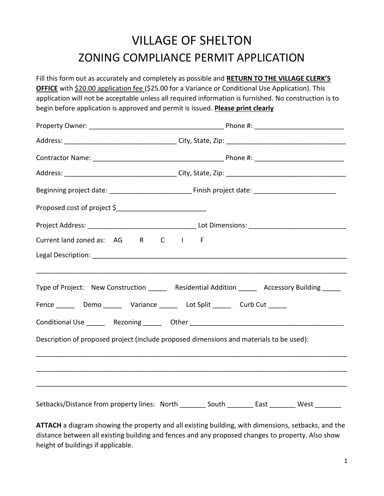## VILLAGE OF SHELTON ZONING COMPLIANCE PERMIT APPLICATION

Fill this form out as accurately and completely as possible and **RETURN TO THE VILLAGE CLERK'S OFFICE** with \$20.00 application fee (\$25.00 for a Variance or Conditional Use Application). This application will not be acceptable unless all required information is furnished. No construction is to begin before application is approved and permit is issued. **Please print clearly**

| Current land zoned as: AG R C I F                                                       |                                                                                                |  |  |
|-----------------------------------------------------------------------------------------|------------------------------------------------------------------------------------------------|--|--|
|                                                                                         |                                                                                                |  |  |
|                                                                                         | Type of Project: New Construction _______ Residential Addition ______ Accessory Building _____ |  |  |
| Fence _______ Demo _______ Variance ______ Lot Split ______ Curb Cut ______             |                                                                                                |  |  |
|                                                                                         |                                                                                                |  |  |
| Description of proposed project (include proposed dimensions and materials to be used): |                                                                                                |  |  |
|                                                                                         |                                                                                                |  |  |
|                                                                                         |                                                                                                |  |  |
|                                                                                         | Setbacks/Distance from property lines: North ________ South ________ East _______ West _______ |  |  |

**ATTACH** a diagram showing the property and all existing building, with dimensions, setbacks, and the distance between all existing building and fences and any proposed changes to property. Also show height of buildings if applicable.